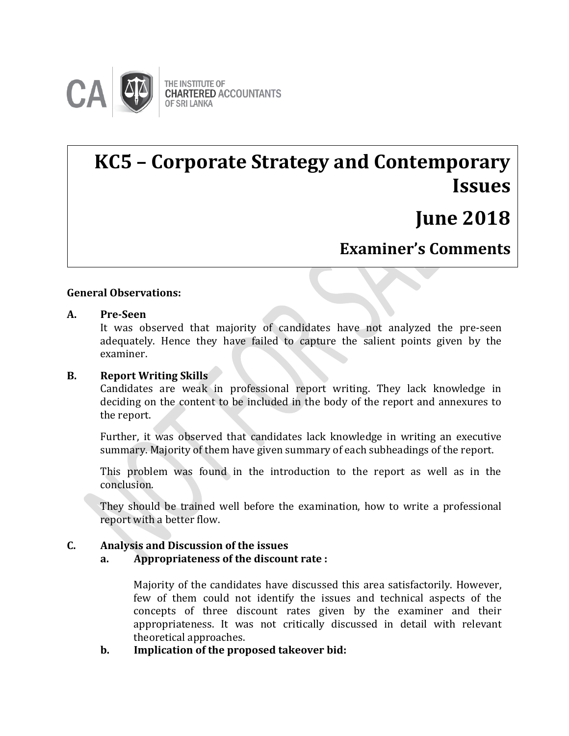

# **KC5 – Corporate Strategy and Contemporary Issues**

# **June 2018**

### **Examiner's Comments**

#### **General Observations:**

### **A.** Pre-Seen

It was observed that majority of candidates have not analyzed the pre-seen adequately. Hence they have failed to capture the salient points given by the examiner.

#### **B. Report Writing Skills**

Candidates are weak in professional report writing. They lack knowledge in deciding on the content to be included in the body of the report and annexures to the report.

Further, it was observed that candidates lack knowledge in writing an executive summary. Majority of them have given summary of each subheadings of the report.

This problem was found in the introduction to the report as well as in the conclusion.

They should be trained well before the examination, how to write a professional report with a better flow.

#### **C. Analysis and Discussion of the issues**

#### **a. Appropriateness of the discount rate :**

Majority of the candidates have discussed this area satisfactorily. However, few of them could not identify the issues and technical aspects of the concepts of three discount rates given by the examiner and their appropriateness. It was not critically discussed in detail with relevant theoretical approaches.

**b. Implication of the proposed takeover bid:**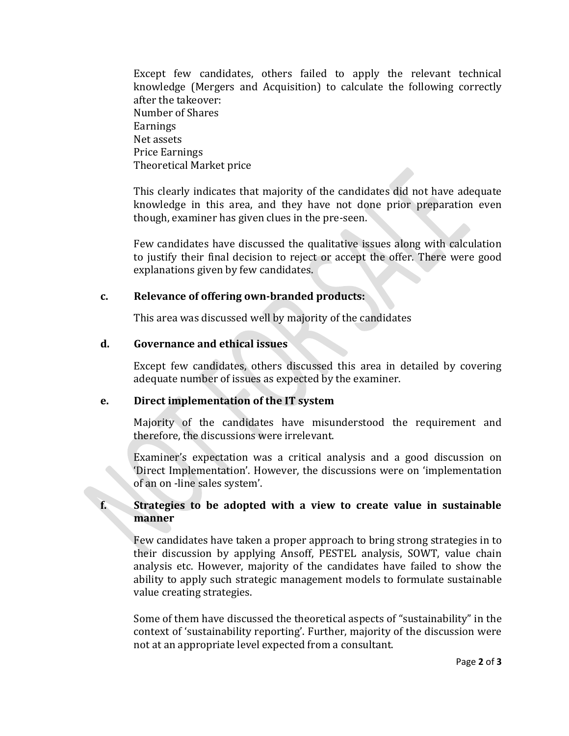Except few candidates, others failed to apply the relevant technical knowledge (Mergers and Acquisition) to calculate the following correctly after the takeover: Number of Shares **Earnings** Net assets Price Earnings Theoretical Market price

This clearly indicates that majority of the candidates did not have adequate knowledge in this area, and they have not done prior preparation even though, examiner has given clues in the pre-seen.

Few candidates have discussed the qualitative issues along with calculation to justify their final decision to reject or accept the offer. There were good explanations given by few candidates.

#### **c. Relevance of offering own-branded products:**

This area was discussed well by majority of the candidates

#### **d. Governance and ethical issues**

Except few candidates, others discussed this area in detailed by covering adequate number of issues as expected by the examiner.

#### **e. Direct implementation of the IT system**

Majority of the candidates have misunderstood the requirement and therefore, the discussions were irrelevant.

Examiner's expectation was a critical analysis and a good discussion on 'Direct Implementation'. However, the discussions were on 'implementation of an on -line sales system'.

#### **f. Strategies to be adopted with a view to create value in sustainable manner**

Few candidates have taken a proper approach to bring strong strategies in to their discussion by applying Ansoff, PESTEL analysis, SOWT, value chain analysis etc. However, majority of the candidates have failed to show the ability to apply such strategic management models to formulate sustainable value creating strategies.

Some of them have discussed the theoretical aspects of "sustainability" in the context of 'sustainability reporting'. Further, majority of the discussion were not at an appropriate level expected from a consultant.